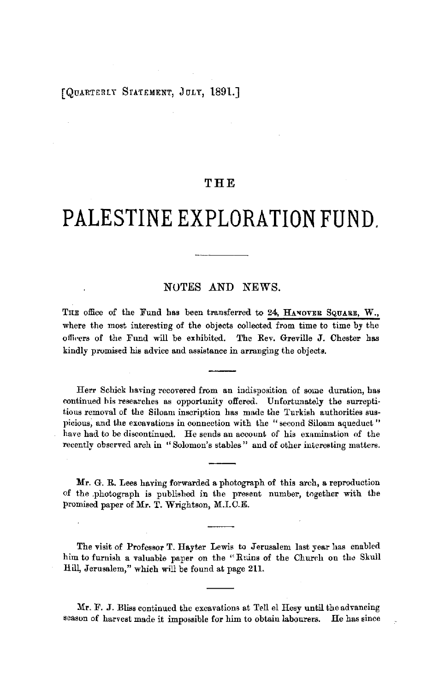## [QUARTERLY STATEMENT, JULY, 1891.]

## **THE**

# **PALESTINE EXPLORATION FUND.**

### NOTES AND NEWS.

THE office of the Fund has been transferred to 24, HANOVER SQUARE, W., where the most interesting of the objects collected from time to time by the officers of the Fund will be exhibited. The Rev. Greville J. Chester has kindly promised his advice and assistance in arranging the objects.

Herr Schick having recovered from an indisposition of some duration, has continued his researches as opportunity offered. Unfortunately the surreptitious removal of the Siloam inscription has made the 'l'urkish authorities suspicious, and the excavations in connection with the "seeond Siloam aqueduct " have had to be discontinued. He sends an account of his examination of the recently observed arch in "Solomon's stables" and of other interesting matters.

**Mr.** G. R. Lees having forwarded a photograph of this arch, a reproduction of the .photograph is published in the present number, together with the promised paper of **Mr.** T. Wrightson, M.I.C.E.

The visit of Professor T. Hayter Lewis to Jerusalem last year has enabled him to furnish a valuable paper on the "Ruins of the Church on the Skull Hill, Jerusalem," which will be found at page 211.

**Mr.** F. J. Bliss continued the excavations at Tell el Hesy until the advancing season of harvest made it impossible for him to obtain labourers. He has since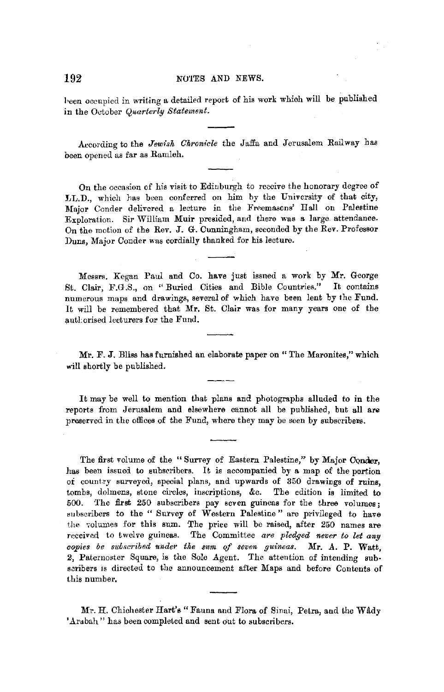#### **192** NOTES AND NEWS.

been occupied in writing a detailed report of his work which will be published in the October *Quarterly Statement.* 

According to the *Jewisk Gkronlele* the Jaffa and Jerusalem Railway bas been opened as far as Ramleh,

On the occasion of his visit to Edinburgh to reecive the honorary degree of LL.D., which has been conferred on him by the University of that city, Major Conder delivered a lecture in the Freemascns' Hall on Palestine Exploration. Sir William Muir presided, and there was a large attendance. On. the motion of the Rev. **J.** G. Cunningham, seconded by the Rev. Professor Duns, Major Conder was cordially thanked for his lecture.

Messrs. Kegan Paul and Co. have just issned a work by **Mr.** George St. Clair, F.G.S., on "Buried Cities and Bible Countries," It contains numerous maps and drawings, several of which have been lent by the Fund. It will be remembered that **Mr.** St. Clair was for many years one of tbe autl.orised lecturers for the Fund.

Mr. F. **J.** Bliss has furnished an elaborate paper on "The Maronites," which »ill shortly be published.

It may be well to mention that plans and photographs alluded to in the reports from Jerusalem and elsewhere cannot all be published, but all are preserved in the offices of the Fund, where they may be seen by subscribers.

The first volume of the "Survey of Eastern Palestine," by Major Conder, has been issued to subscribers. It is accompanied by a map of the portion *ot* country surveyed, special plans, and upwards of 350 drawings of ruins, tombs, dolmens, stone circles, inscriptions, &c. The edition is limited to 500. The first 250 subscribers pay seven guineas for the three volumes; subscribers to the "Survey of Western Palestine" are privileged to have the volumes for this sum. The price will be raised, after 250 names are received to twelve guineas. The Committee are pledged never to let any *copies be subscribed under the sum of seven guineas.* Mr. A. P. Watt, 2, Paternoster Square, is the Sole Agent. The attention of intending subscribers is directed to the announcement after Maps and before Contents of this number.

Mr. H. Chichester Hart's "Fauna and Flora of Sinai, Petra, and the Wady 'Arabah" has been completed and sent out to subscribers.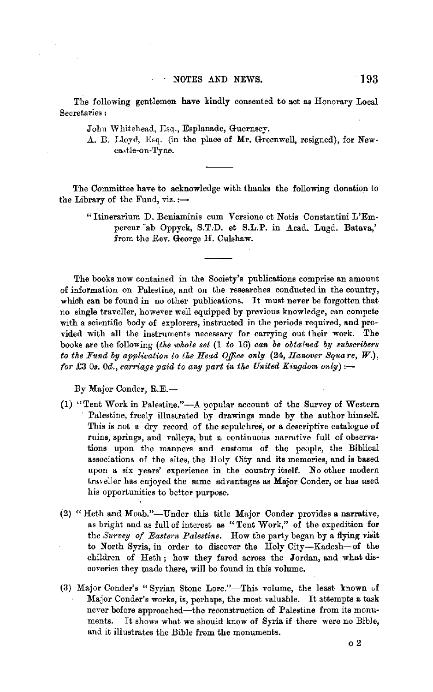The following gentlemen have kindly consented to act as Honorary Local Secretaries :

Jolm Whitehead, Rsq., Esplanade, Guernsey.

A. B. Lloyd, Esq. (in the place of Mr. Greenwell, resigned), for Newca,tle-on-Tyne.

The Committee have to acknowledge with thanks the following donation to the Library of the Fund,  $viz. :$ 

" Itinerarium D. Beniaminis cum Versione et Notis Constantini L'Empereur <sup>"</sup>ab Oppyck, S.T.D. et S.L.P. in Acad. Lugd. Batava,' from the Rev. George H. Culshaw.

The books now contained in the Society's publications comprise an amount of information on Palestine, and on the researches conducted in the country, which can be found in no other publications. It must never be forgotten that no single traveller, however well equipped by previous knowledge, can compete with a scientific body of explorers, instructed in the periods required, and provided with all the instruments necessary for carrying out their work. The books are the following *(the whole set* (I *to* 16) *can be obtained by subscribers to the Fund by application to the Head* OjJfoe *only* (24, *Hanover Square,* W.), *for* £3 0s, 0d., carriage paid to any part in the United Kingdom only)  $:$ 

By Major Conder, R.E.-

- (1) "Tent Work in Palestine,"-A. popular account of the Survey of Western Palestine, freely illustrated by drawings made by the author himself. This is not a dry record of the sepulchres, **or a** descriptive catalogue of ruins, springs, and valleys, but a continuous narrative full of observa· tions upon the manners and customs of the people, the Biblical associations of the sites, the Holy City and its memories, and is based npon a six years' experience in the country itself. No other modern traveller has enjoyed the same advantages as Major Conder, or has used his opportunities to better purpose.
- (2) "Heth and Moab."-Under this title Major Conder provides a narrative, as bright and as full of interest as " Tent Work," of the expedition **for**  the *Survey of Eastern Palestine*. How the party began by a flying visit to North Syria, in order to discover the Holy City-Kadesh- of the children of Heth ; how they fared across the Jordan, and what dis• coveries they made there, will be found in this volume.
- (3) Major Conder's "Syrian Stone Lore."-This volume, the least known of Major Conder's works, is, perhaps, the most valuable. It attempts a task never before approached-the reconstruction of Palestine from its monuments. It shows what we should know of Syria if there were no Bible, and it illustrates the Bible from the monuments.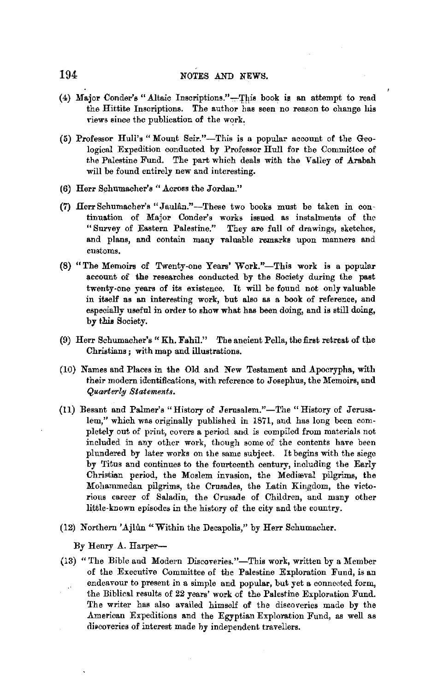- (4) Major Conder's "Altaic Inscriptions."-This book is an attempt to read the Hittite Inscriptions. The author has seen no reason to change his views since the publication of the work.
- (5) Professor Hull's" Mount Seir."-This is a popular account of the Geological Expedition conducted by Professor Hull for the Committee of the Palestine Fund. The part which deals with the Valley of Arabah will be found entirely new and interesting.
- (6) Herr Schumacher's "Across the Jordan."
- (7) Herr Schumacher's "Jaulan."-These two books must he taken in continuation of Major Conder's works issued as instalments of the "Survey of Eastern Palestine." They are full of drawings, sketches, and plans, and contain many valuable remarks upon manners and customs.
- (8) "The Memoirs of Twenty-one Years' Work."-This work is a popular acoount of the researches conducted by the Society during the past twenty-one years of its existence. It will he found not only valuable in itself as an interesting work, but also as a hook of reference, and especially usefnl in order to show what has been doing, and is still doing, by this Society.
- (9) Herr Schumacher's "Kh. Fahil." The ancient Pella, the first retreat of the Christians ; with map and illustrations.
- (10) Names and Places in the Old and New Testament and Apocrypha, with their modern identifications, with reference to Josephus, the Memoirs, and *Quarterly Statements.*
- (11) Besant and Palmer's "History of Jerusalem."-The "History of Jerusalem," which was originally published in 1871, and has long been completely out of print, covers a period and is compiled from materials not included in any other work, though some of the contents have been plundered by later works on the same subject. It begins with the siege by Titus and continues to the fourteenth century, including the Early Christian period, the Moslem invasion, the Mediaval pilgrims, the Mohammedan pilgrims, the Crusades, the Latin Kingdom, the victorious career of Saladin, the Crusade of Children, and many other little-known episodes in the history of the city and the country.
- (12) Northern 'Ajlûn "Within the Decapolis," by Herr Schumacher.

By Henry A. Harper-

(13) "The Bible and Modern Discoveries."-This work, written by a Member of the Executive Committee of the Palestine Exploration Fund, is an endeavour to present in a simple and popular, but yet a connected form, the Biblical results of *22* years' work of the Palestine Exploration Fund. The writer has also availed himself of the discoveries made by the .American Expeditions and the Egyptian Exploration Fund, as well as discoveries of interest made hy independent travellers.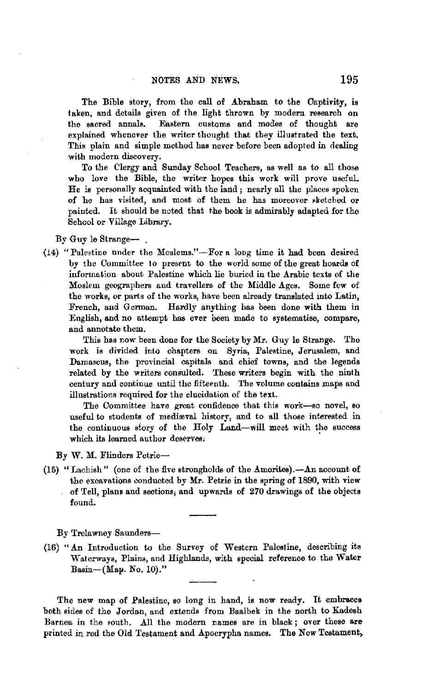The Bible story, from the call of Abraham to the Captivity, is taken, and details given of the light thrown by modern research on the sacred annals. Eastern customs and modes of thought are explained whenever the writer thought that they illustrated the text. This plain and simple method has never before been adopted in dealing with modern discovery.

To the Clergy and Sunday School Teachers, as well as to all those who love the Bible, the writer hopes this work will prove useful. He is personally acquainted with the iand ; nearly all the places spoken of he has visited, and most of them he has moreover sketched or painted. It should be noted that the book is admirably adapted for the School or Village Library.

By Guy le Strange-

(14) "Palestine under the Moslems."-For a long time it had been desired by the Committee to presem to the world some of the great hoards of information about Palestine which lie buried in the Arabic texts of the Moslem geographers and travellers of the Middle Ages. Some few of the works, or parts of the works, have been already translated into Latin, French, and German. Hardly anything has been done with them in English, and no attempt has ever been made to systematise, compare, and annotate them.

This has now been done for the Society by Mr. Guy le Strange. The work is divided into chapters on Syria, Palestine, Jerusalem, and Damascus, the provincial capitals and chief towns, and the legends related by the writers consulted. These writers begin with the ninth century and continue until the fifteenth. The volume contains maps and illustrations required for the elucidation of the text.

The Committee have great confidence that this work-so novel, so useful to students of mediaval history, and to all those interested in the continuous story of the Holy Land-will meet with the success which its learned author deserves.

By **W. M.** Flinders Petrie-

(15) "Lachish" (one of the five strongholds of the Amorites). $-$ An account of the excavations conducted by Mr. Petrie in the spring of 1890, with view of Tell, plans and sections; and upwards of 270 drawings of the objects found.

By Trelawney Sannders-

(16) "An Introduction to the Survey of Western Palestine, describing its Waterways, Plains, and Highlands, with special reference to the Water Basin-(Map. No. 10)."

The new map of Palestine, so long in hand, is now ready. It embraces both sides of the Jordan, and extends from Baalbek in the north to Kadesh Barnea in the wuth. All the modern names are in black; over these **are**  printed in red the Old Testament and Apocrypha names. The New Testament,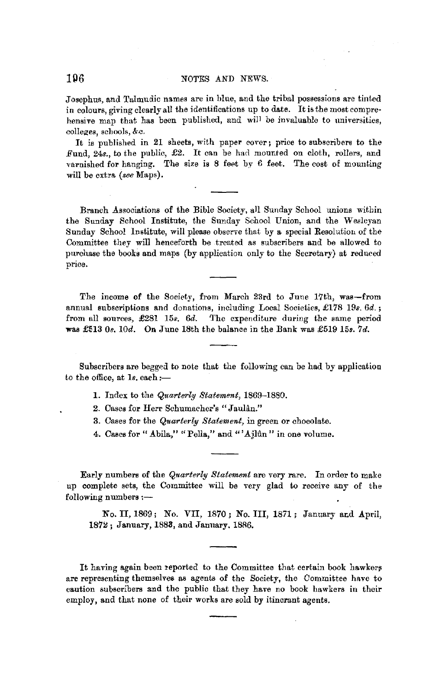Josephus, and Talmudic names are in blue, and the tribal possessions are tinted in colours, giving clearly all the identifications up to date. It is the most comprehensive map that has been published, and will be invaluable to universities, colleges, schools, &c.

It is published in 21 sheets, with paper cover; price to subscribers to the Fund, 24s., to the public, £2. It can be had mounted on cloth, rollers, and varnished for hanging. The size is 8 feet by 6 feet. The cost of mounting will be extra *(see* Maps).

Branch Associations of the Bible Society, all Sunday School unions within the Sunday School Institute, the Sunday School Union, and the Wesleyan Sunday School Institute, will please observe that by a special Resolution of the Committee they will henceforth be treated as subscribers and be allowed to purchase the books and maps (by application only to the Secretary) at reduced price.

The income of the Society, from March 23rd to June 17th, was-from annual subscriptions and donations, including Local Societies, £178 19s. 6d. ; from all sources, £281 15s. 6d. The expenditure during the same period was £513 *Os. 10d.* On June 18th the balance in the Bank was £519 15s. *7d.* 

Subscribers are begged to note that the following can be had by application to the office, at  $1s$ . each: $-$ 

- 1. Index to the *Quarterly Statement,* 1869-1880.
- 2. Cases for Herr Schumacher's "Jaulân."
- 3. Cases for the *Quarterly Statement,* in green or chocolate.
- 4. Cases for "Abila," "Pella," and "'Ajlûn" in one volume.

Early numbers of the *Quarterly Statement* are very rare. In order to make up complete sets, the Committee will be very glad to receive any of the following numbers :-

No. II, 1869; No. VII, 1870; No. III, 1871; January and April, 1872; January, 1883, and January, 1886.

It having again been reported to the Committee that certain book hawkers are representing themselves as agents of the Society, the Committee have to caution subscribers and the public that they have no book hawkers in their employ, and that none of their works are sold by itinerant agents.